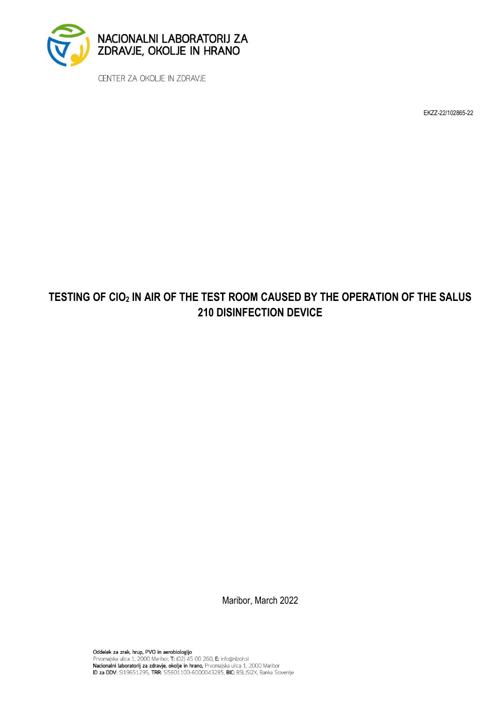

CENTER ZA OKOLJE IN ZDRAVJE

EKZZ-22/102865-22

## **TESTING OF ClO<sup>2</sup> IN AIR OF THE TEST ROOM CAUSED BY THE OPERATION OF THE SALUS 210 DISINFECTION DEVICE**

Maribor, March 2022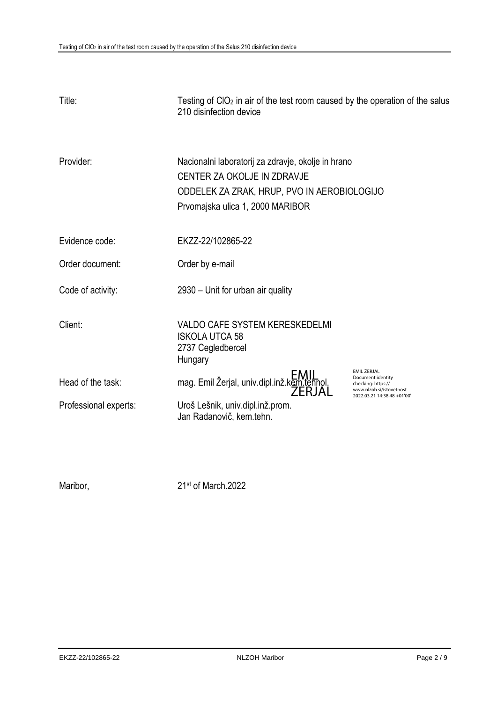| Title:                | Testing of $ClO2$ in air of the test room caused by the operation of the salus<br>210 disinfection device                                                            |                                                                                    |
|-----------------------|----------------------------------------------------------------------------------------------------------------------------------------------------------------------|------------------------------------------------------------------------------------|
| Provider:             | Nacionalni laboratorij za zdravje, okolje in hrano<br>CENTER ZA OKOLJE IN ZDRAVJE<br>ODDELEK ZA ZRAK, HRUP, PVO IN AEROBIOLOGIJO<br>Prvomajska ulica 1, 2000 MARIBOR |                                                                                    |
| Evidence code:        | EKZZ-22/102865-22                                                                                                                                                    |                                                                                    |
| Order document:       | Order by e-mail                                                                                                                                                      |                                                                                    |
| Code of activity:     | 2930 – Unit for urban air quality                                                                                                                                    |                                                                                    |
| Client:               | <b>VALDO CAFE SYSTEM KERESKEDELMI</b><br><b>ISKOLA UTCA 58</b><br>2737 Cegledbercel<br>Hungary                                                                       |                                                                                    |
| Head of the task:     | EIVIIL<br>1901.mag. Emil Žerjal, univ.dipl.inž.kem.tehnol.<br>ŽERJAL                                                                                                 | EMIL ŽERJAL<br>Document identity<br>checking: https://<br>www.nlzoh.si/istovetnost |
| Professional experts: | Uroš Lešnik, univ.dipl.inž.prom.<br>Jan Radanovič, kem.tehn.                                                                                                         | 2022.03.21 14:38:48 +01'00'                                                        |

Maribor,

21st of March.2022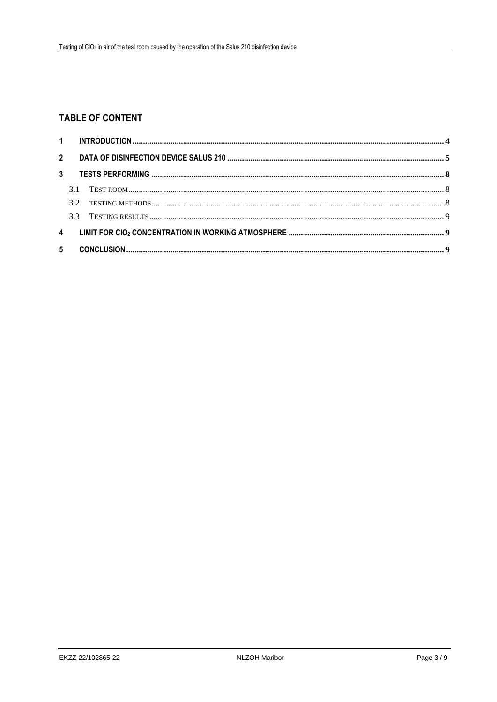### **TABLE OF CONTENT**

| $\overline{4}$ |  |  |  |  |
|----------------|--|--|--|--|
| $5 -$          |  |  |  |  |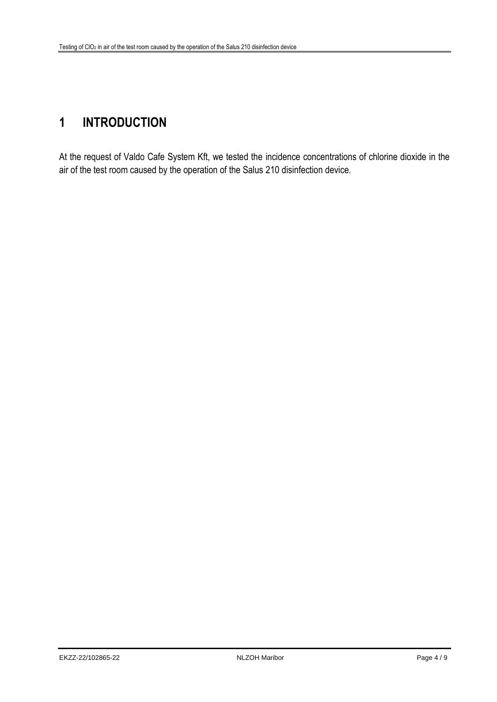# <span id="page-3-0"></span>**1 INTRODUCTION**

At the request of Valdo Cafe System Kft, we tested the incidence concentrations of chlorine dioxide in the air of the test room caused by the operation of the Salus 210 disinfection device.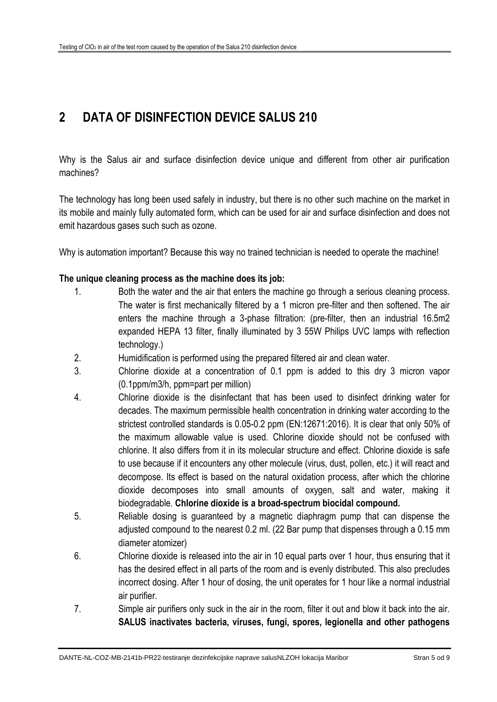## <span id="page-4-0"></span>**2 DATA OF DISINFECTION DEVICE SALUS 210**

Why is the Salus air and surface disinfection device unique and different from other air purification machines?

The technology has long been used safely in industry, but there is no other such machine on the market in its mobile and mainly fully automated form, which can be used for air and surface disinfection and does not emit hazardous gases such such as ozone.

Why is automation important? Because this way no trained technician is needed to operate the machine!

#### **The unique cleaning process as the machine does its job:**

- 1. Both the water and the air that enters the machine go through a serious cleaning process. The water is first mechanically filtered by a 1 micron pre-filter and then softened. The air enters the machine through a 3-phase filtration: (pre-filter, then an industrial 16.5m2 expanded HEPA 13 filter, finally illuminated by 3 55W Philips UVC lamps with reflection technology.)
- 2. Humidification is performed using the prepared filtered air and clean water.
- 3. Chlorine dioxide at a concentration of 0.1 ppm is added to this dry 3 micron vapor (0.1ppm/m3/h, ppm=part per million)
- 4. Chlorine dioxide is the disinfectant that has been used to disinfect drinking water for decades. The maximum permissible health concentration in drinking water according to the strictest controlled standards is 0.05-0.2 ppm (EN:12671:2016). It is clear that only 50% of the maximum allowable value is used. Chlorine dioxide should not be confused with chlorine. It also differs from it in its molecular structure and effect. Chlorine dioxide is safe to use because if it encounters any other molecule (virus, dust, pollen, etc.) it will react and decompose. Its effect is based on the natural oxidation process, after which the chlorine dioxide decomposes into small amounts of oxygen, salt and water, making it biodegradable. **Chlorine dioxide is a broad-spectrum biocidal compound.**
- 5. Reliable dosing is guaranteed by a magnetic diaphragm pump that can dispense the adjusted compound to the nearest 0.2 ml. (22 Bar pump that dispenses through a 0.15 mm diameter atomizer)
- 6. Chlorine dioxide is released into the air in 10 equal parts over 1 hour, thus ensuring that it has the desired effect in all parts of the room and is evenly distributed. This also precludes incorrect dosing. After 1 hour of dosing, the unit operates for 1 hour like a normal industrial air purifier.
- 7. Simple air purifiers only suck in the air in the room, filter it out and blow it back into the air. **SALUS inactivates bacteria, viruses, fungi, spores, legionella and other pathogens**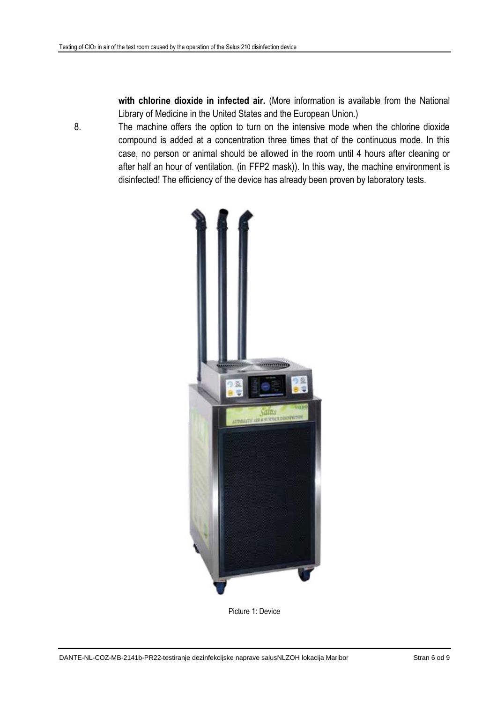**with chlorine dioxide in infected air.** (More information is available from the National Library of Medicine in the United States and the European Union.)

8. The machine offers the option to turn on the intensive mode when the chlorine dioxide compound is added at a concentration three times that of the continuous mode. In this case, no person or animal should be allowed in the room until 4 hours after cleaning or after half an hour of ventilation. (in FFP2 mask)). In this way, the machine environment is disinfected! The efficiency of the device has already been proven by laboratory tests.



Picture 1: Device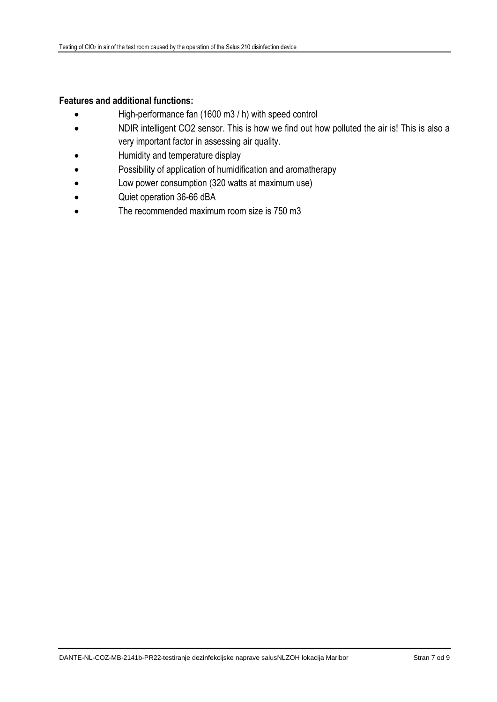#### **Features and additional functions:**

- High-performance fan (1600 m3 / h) with speed control
- NDIR intelligent CO2 sensor. This is how we find out how polluted the air is! This is also a very important factor in assessing air quality.
- Humidity and temperature display
- Possibility of application of humidification and aromatherapy
- Low power consumption (320 watts at maximum use)
- Quiet operation 36-66 dBA
- The recommended maximum room size is 750 m3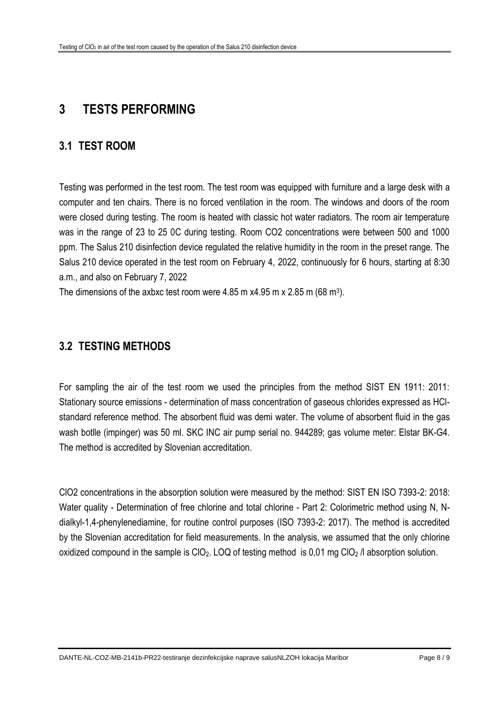## <span id="page-7-0"></span>**3 TESTS PERFORMING**

#### <span id="page-7-1"></span>**3.1 TEST ROOM**

Testing was performed in the test room. The test room was equipped with furniture and a large desk with a computer and ten chairs. There is no forced ventilation in the room. The windows and doors of the room were closed during testing. The room is heated with classic hot water radiators. The room air temperature was in the range of 23 to 25 0C during testing. Room CO2 concentrations were between 500 and 1000 ppm. The Salus 210 disinfection device regulated the relative humidity in the room in the preset range. The Salus 210 device operated in the test room on February 4, 2022, continuously for 6 hours, starting at 8:30 a.m., and also on February 7, 2022

The dimensions of the axbxc test room were 4.85 m x4.95 m x 2.85 m (68 m<sup>3</sup>).

#### <span id="page-7-2"></span>**3.2 TESTING METHODS**

For sampling the air of the test room we used the principles from the method SIST EN 1911: 2011: Stationary source emissions - determination of mass concentration of gaseous chlorides expressed as HClstandard reference method. The absorbent fluid was demi water. The volume of absorbent fluid in the gas wash botlle (impinger) was 50 ml. SKC INC air pump serial no. 944289; gas volume meter: Elstar BK-G4. The method is accredited by Slovenian accreditation.

ClO2 concentrations in the absorption solution were measured by the method: SIST EN ISO 7393-2: 2018: Water quality - Determination of free chlorine and total chlorine - Part 2: Colorimetric method using N, Ndialkyl-1,4-phenylenediamine, for routine control purposes (ISO 7393-2: 2017). The method is accredited by the Slovenian accreditation for field measurements. In the analysis, we assumed that the only chlorine oxidized compound in the sample is  $ClO<sub>2</sub>$ . LOQ of testing method is 0.01 mg  $ClO<sub>2</sub>$  // absorption solution.